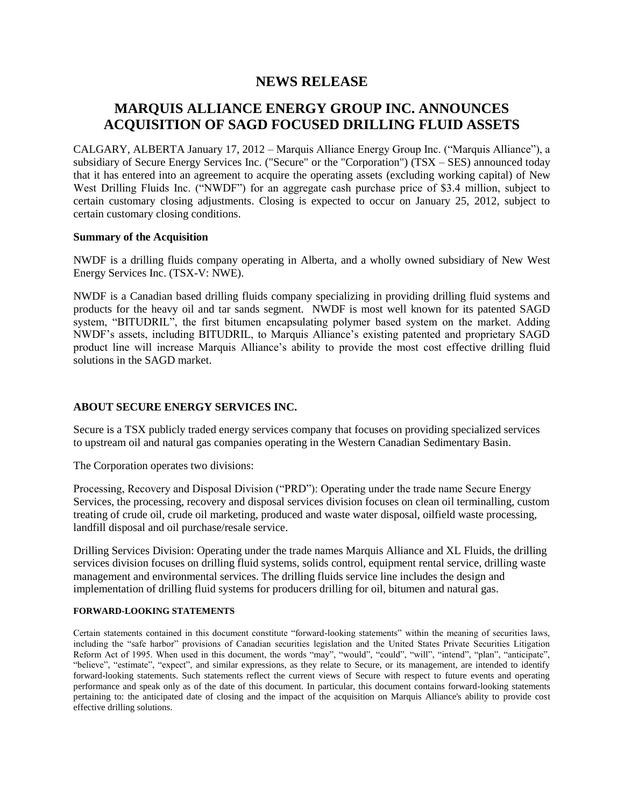# **NEWS RELEASE**

# **MARQUIS ALLIANCE ENERGY GROUP INC. ANNOUNCES ACQUISITION OF SAGD FOCUSED DRILLING FLUID ASSETS**

CALGARY, ALBERTA January 17, 2012 – Marquis Alliance Energy Group Inc. ("Marquis Alliance"), a subsidiary of Secure Energy Services Inc. ("Secure" or the "Corporation") (TSX – SES) announced today that it has entered into an agreement to acquire the operating assets (excluding working capital) of New West Drilling Fluids Inc. ("NWDF") for an aggregate cash purchase price of \$3.4 million, subject to certain customary closing adjustments. Closing is expected to occur on January 25, 2012, subject to certain customary closing conditions.

### **Summary of the Acquisition**

NWDF is a drilling fluids company operating in Alberta, and a wholly owned subsidiary of New West Energy Services Inc. (TSX-V: NWE).

NWDF is a Canadian based drilling fluids company specializing in providing drilling fluid systems and products for the heavy oil and tar sands segment. NWDF is most well known for its patented SAGD system, "BITUDRIL", the first bitumen encapsulating polymer based system on the market. Adding NWDF's assets, including BITUDRIL, to Marquis Alliance's existing patented and proprietary SAGD product line will increase Marquis Alliance's ability to provide the most cost effective drilling fluid solutions in the SAGD market.

# **ABOUT SECURE ENERGY SERVICES INC.**

Secure is a TSX publicly traded energy services company that focuses on providing specialized services to upstream oil and natural gas companies operating in the Western Canadian Sedimentary Basin.

The Corporation operates two divisions:

Processing, Recovery and Disposal Division ("PRD"): Operating under the trade name Secure Energy Services, the processing, recovery and disposal services division focuses on clean oil terminalling, custom treating of crude oil, crude oil marketing, produced and waste water disposal, oilfield waste processing, landfill disposal and oil purchase/resale service.

Drilling Services Division: Operating under the trade names Marquis Alliance and XL Fluids, the drilling services division focuses on drilling fluid systems, solids control, equipment rental service, drilling waste management and environmental services. The drilling fluids service line includes the design and implementation of drilling fluid systems for producers drilling for oil, bitumen and natural gas.

#### **FORWARD-LOOKING STATEMENTS**

Certain statements contained in this document constitute "forward-looking statements" within the meaning of securities laws, including the "safe harbor" provisions of Canadian securities legislation and the United States Private Securities Litigation Reform Act of 1995. When used in this document, the words "may", "would", "could", "will", "intend", "plan", "anticipate", "believe", "estimate", "expect", and similar expressions, as they relate to Secure, or its management, are intended to identify forward-looking statements. Such statements reflect the current views of Secure with respect to future events and operating performance and speak only as of the date of this document. In particular, this document contains forward-looking statements pertaining to: the anticipated date of closing and the impact of the acquisition on Marquis Alliance's ability to provide cost effective drilling solutions.